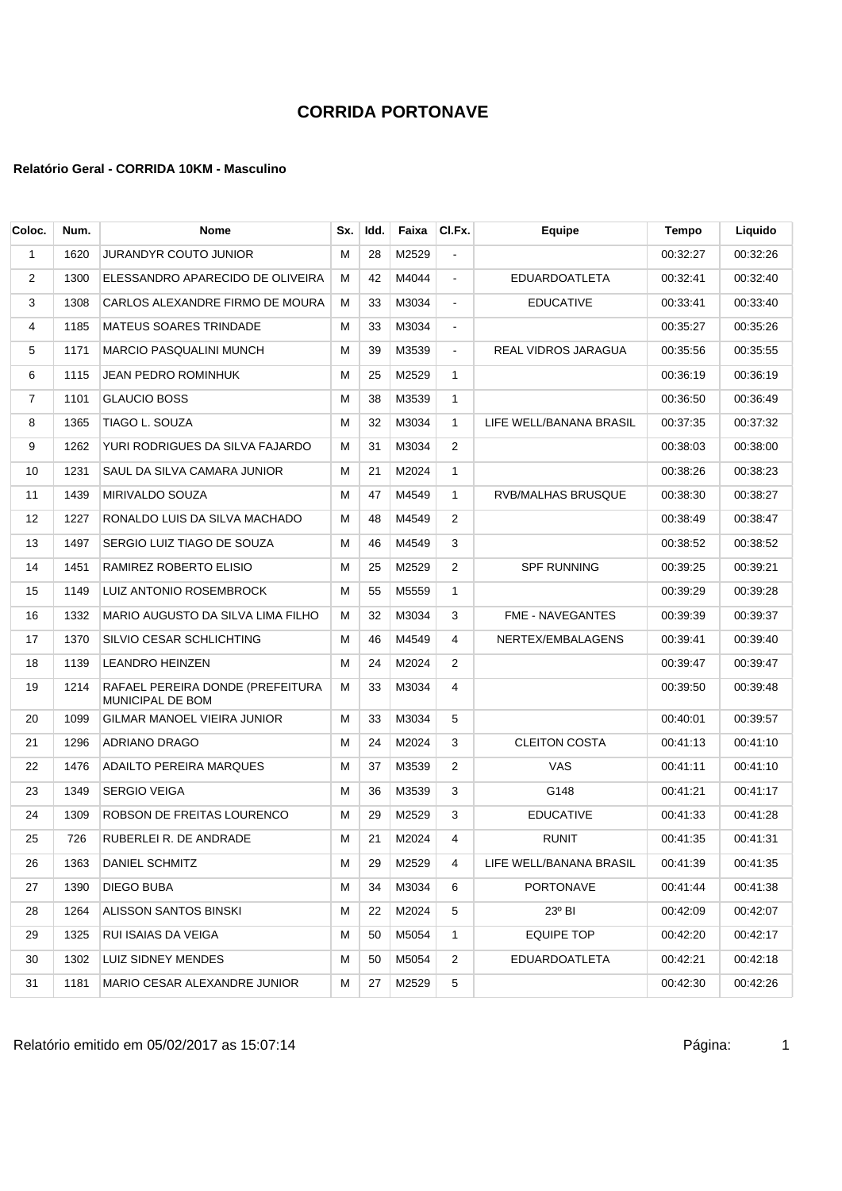### **Relatório Geral - CORRIDA 10KM - Masculino**

| Coloc.            | Num. | <b>Nome</b>                                                 | Sx. | Idd. | Faixa | CI.Fx.         | <b>Equipe</b>           | Tempo    | Liquido  |
|-------------------|------|-------------------------------------------------------------|-----|------|-------|----------------|-------------------------|----------|----------|
| 1                 | 1620 | <b>JURANDYR COUTO JUNIOR</b>                                | м   | 28   | M2529 | ä,             |                         | 00:32:27 | 00:32:26 |
| $\overline{2}$    | 1300 | ELESSANDRO APARECIDO DE OLIVEIRA                            | м   | 42   | M4044 | $\blacksquare$ | <b>EDUARDOATLETA</b>    | 00:32:41 | 00:32:40 |
| 3                 | 1308 | CARLOS ALEXANDRE FIRMO DE MOURA                             | м   | 33   | M3034 | $\blacksquare$ | <b>EDUCATIVE</b>        | 00:33:41 | 00:33:40 |
| 4                 | 1185 | <b>MATEUS SOARES TRINDADE</b>                               | M   | 33   | M3034 | $\blacksquare$ |                         | 00:35:27 | 00:35:26 |
| 5                 | 1171 | <b>MARCIO PASQUALINI MUNCH</b>                              | м   | 39   | M3539 | $\blacksquare$ | REAL VIDROS JARAGUA     | 00:35:56 | 00:35:55 |
| 6                 | 1115 | JEAN PEDRO ROMINHUK                                         | М   | 25   | M2529 | $\mathbf{1}$   |                         | 00:36:19 | 00:36:19 |
| $\overline{7}$    | 1101 | <b>GLAUCIO BOSS</b>                                         | M   | 38   | M3539 | $\mathbf{1}$   |                         | 00:36:50 | 00:36:49 |
| 8                 | 1365 | TIAGO L. SOUZA                                              | M   | 32   | M3034 | $\mathbf{1}$   | LIFE WELL/BANANA BRASIL | 00:37:35 | 00:37:32 |
| 9                 | 1262 | YURI RODRIGUES DA SILVA FAJARDO                             | M   | 31   | M3034 | 2              |                         | 00:38:03 | 00:38:00 |
| 10                | 1231 | SAUL DA SILVA CAMARA JUNIOR                                 | M   | 21   | M2024 | $\mathbf{1}$   |                         | 00:38:26 | 00:38:23 |
| 11                | 1439 | MIRIVALDO SOUZA                                             | M   | 47   | M4549 | $\mathbf{1}$   | RVB/MALHAS BRUSQUE      | 00:38:30 | 00:38:27 |
| $12 \overline{ }$ | 1227 | RONALDO LUIS DA SILVA MACHADO                               | м   | 48   | M4549 | 2              |                         | 00:38:49 | 00:38:47 |
| 13                | 1497 | SERGIO LUIZ TIAGO DE SOUZA                                  | М   | 46   | M4549 | 3              |                         | 00:38:52 | 00:38:52 |
| 14                | 1451 | RAMIREZ ROBERTO ELISIO                                      | м   | 25   | M2529 | $\overline{2}$ | <b>SPF RUNNING</b>      | 00:39:25 | 00:39:21 |
| 15                | 1149 | LUIZ ANTONIO ROSEMBROCK                                     | м   | 55   | M5559 | $\mathbf{1}$   |                         | 00:39:29 | 00:39:28 |
| 16                | 1332 | MARIO AUGUSTO DA SILVA LIMA FILHO                           | M   | 32   | M3034 | 3              | <b>FME - NAVEGANTES</b> | 00:39:39 | 00:39:37 |
| 17                | 1370 | SILVIO CESAR SCHLICHTING                                    | М   | 46   | M4549 | 4              | NERTEX/EMBALAGENS       | 00:39:41 | 00:39:40 |
| 18                | 1139 | <b>LEANDRO HEINZEN</b>                                      | м   | 24   | M2024 | 2              |                         | 00:39:47 | 00:39:47 |
| 19                | 1214 | RAFAEL PEREIRA DONDE (PREFEITURA<br><b>MUNICIPAL DE BOM</b> | М   | 33   | M3034 | 4              |                         | 00:39:50 | 00:39:48 |
| 20                | 1099 | <b>GILMAR MANOEL VIEIRA JUNIOR</b>                          | м   | 33   | M3034 | 5              |                         | 00:40:01 | 00:39:57 |
| 21                | 1296 | ADRIANO DRAGO                                               | M   | 24   | M2024 | 3              | <b>CLEITON COSTA</b>    | 00:41:13 | 00:41:10 |
| 22                | 1476 | <b>ADAILTO PEREIRA MARQUES</b>                              | M   | 37   | M3539 | 2              | <b>VAS</b>              | 00:41:11 | 00:41:10 |
| 23                | 1349 | <b>SERGIO VEIGA</b>                                         | м   | 36   | M3539 | 3              | G148                    | 00:41:21 | 00:41:17 |
| 24                | 1309 | ROBSON DE FREITAS LOURENCO                                  | M   | 29   | M2529 | 3              | <b>EDUCATIVE</b>        | 00:41:33 | 00:41:28 |
| 25                | 726  | RUBERLEI R. DE ANDRADE                                      | м   | 21   | M2024 | 4              | <b>RUNIT</b>            | 00:41:35 | 00:41:31 |
| 26                | 1363 | DANIEL SCHMITZ                                              | м   | 29   | M2529 | 4              | LIFE WELL/BANANA BRASIL | 00:41:39 | 00:41:35 |
| 27                | 1390 | DIEGO BUBA                                                  | M   | 34   | M3034 | 6              | PORTONAVE               | 00:41:44 | 00:41:38 |
| 28                | 1264 | ALISSON SANTOS BINSKI                                       | м   | 22   | M2024 | 5              | $23^{\circ}$ BI         | 00:42:09 | 00:42:07 |
| 29                | 1325 | RUI ISAIAS DA VEIGA                                         | м   | 50   | M5054 | $\mathbf{1}$   | <b>EQUIPE TOP</b>       | 00:42:20 | 00:42:17 |
| 30                | 1302 | <b>LUIZ SIDNEY MENDES</b>                                   | м   | 50   | M5054 | 2              | <b>EDUARDOATLETA</b>    | 00:42:21 | 00:42:18 |
| 31                | 1181 | MARIO CESAR ALEXANDRE JUNIOR                                | м   | 27   | M2529 | 5              |                         | 00:42:30 | 00:42:26 |

Relatório emitido em 05/02/2017 as 15:07:14 <br>
1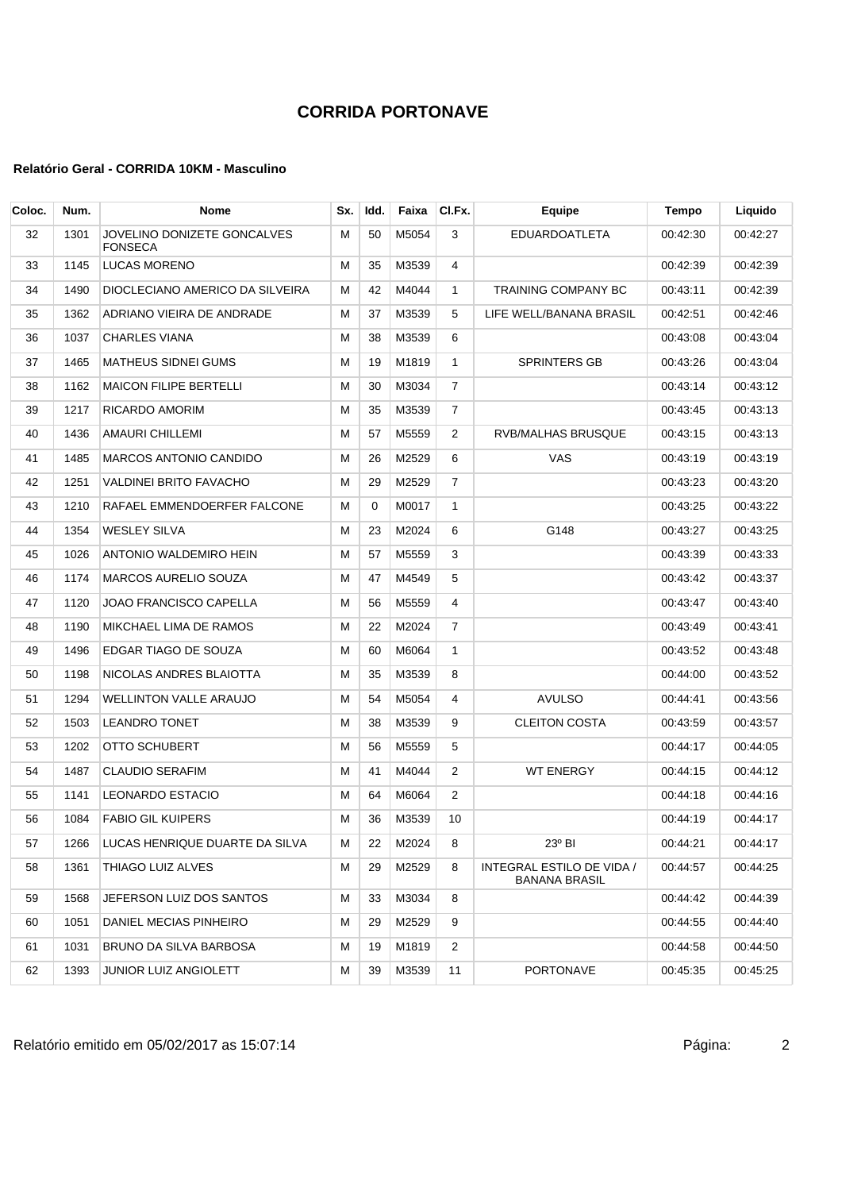| Coloc. | Num. | <b>Nome</b>                                   | Sx. | Idd.     | Faixa | CI.Fx.         | Equipe                                            | Tempo    | Liquido  |
|--------|------|-----------------------------------------------|-----|----------|-------|----------------|---------------------------------------------------|----------|----------|
| 32     | 1301 | JOVELINO DONIZETE GONCALVES<br><b>FONSECA</b> | M   | 50       | M5054 | 3              | <b>EDUARDOATLETA</b>                              | 00:42:30 | 00:42:27 |
| 33     | 1145 | LUCAS MORENO                                  | м   | 35       | M3539 | 4              |                                                   | 00:42:39 | 00:42:39 |
| 34     | 1490 | DIOCLECIANO AMERICO DA SILVEIRA               | М   | 42       | M4044 | $\mathbf{1}$   | <b>TRAINING COMPANY BC</b>                        | 00:43:11 | 00:42:39 |
| 35     | 1362 | ADRIANO VIEIRA DE ANDRADE                     | м   | 37       | M3539 | 5              | LIFE WELL/BANANA BRASIL                           | 00:42:51 | 00:42:46 |
| 36     | 1037 | <b>CHARLES VIANA</b>                          | м   | 38       | M3539 | 6              |                                                   | 00:43:08 | 00:43:04 |
| 37     | 1465 | <b>MATHEUS SIDNEI GUMS</b>                    | м   | 19       | M1819 | $\mathbf{1}$   | <b>SPRINTERS GB</b>                               | 00:43:26 | 00:43:04 |
| 38     | 1162 | <b>MAICON FILIPE BERTELLI</b>                 | м   | 30       | M3034 | 7              |                                                   | 00:43:14 | 00:43:12 |
| 39     | 1217 | RICARDO AMORIM                                | м   | 35       | M3539 | 7              |                                                   | 00:43:45 | 00:43:13 |
| 40     | 1436 | AMAURI CHILLEMI                               | М   | 57       | M5559 | 2              | RVB/MALHAS BRUSQUE                                | 00:43:15 | 00:43:13 |
| 41     | 1485 | MARCOS ANTONIO CANDIDO                        | м   | 26       | M2529 | 6              | VAS                                               | 00:43:19 | 00:43:19 |
| 42     | 1251 | VALDINEI BRITO FAVACHO                        | м   | 29       | M2529 | 7              |                                                   | 00:43:23 | 00:43:20 |
| 43     | 1210 | RAFAEL EMMENDOERFER FALCONE                   | М   | $\Omega$ | M0017 | $\mathbf{1}$   |                                                   | 00:43:25 | 00:43:22 |
| 44     | 1354 | <b>WESLEY SILVA</b>                           | м   | 23       | M2024 | 6              | G148                                              | 00:43:27 | 00:43:25 |
| 45     | 1026 | ANTONIO WALDEMIRO HEIN                        | м   | 57       | M5559 | 3              |                                                   | 00:43:39 | 00:43:33 |
| 46     | 1174 | <b>MARCOS AURELIO SOUZA</b>                   | М   | 47       | M4549 | 5              |                                                   | 00:43:42 | 00:43:37 |
| 47     | 1120 | JOAO FRANCISCO CAPELLA                        | м   | 56       | M5559 | 4              |                                                   | 00:43:47 | 00:43:40 |
| 48     | 1190 | MIKCHAEL LIMA DE RAMOS                        | м   | 22       | M2024 | 7              |                                                   | 00:43:49 | 00:43:41 |
| 49     | 1496 | EDGAR TIAGO DE SOUZA                          | м   | 60       | M6064 | $\mathbf{1}$   |                                                   | 00:43:52 | 00:43:48 |
| 50     | 1198 | NICOLAS ANDRES BLAIOTTA                       | М   | 35       | M3539 | 8              |                                                   | 00:44:00 | 00:43:52 |
| 51     | 1294 | <b>WELLINTON VALLE ARAUJO</b>                 | М   | 54       | M5054 | 4              | <b>AVULSO</b>                                     | 00:44:41 | 00:43:56 |
| 52     | 1503 | <b>LEANDRO TONET</b>                          | М   | 38       | M3539 | 9              | <b>CLEITON COSTA</b>                              | 00:43:59 | 00:43:57 |
| 53     | 1202 | OTTO SCHUBERT                                 | М   | 56       | M5559 | 5              |                                                   | 00:44:17 | 00:44:05 |
| 54     | 1487 | <b>CLAUDIO SERAFIM</b>                        | м   | 41       | M4044 | 2              | <b>WT ENERGY</b>                                  | 00:44:15 | 00:44:12 |
| 55     | 1141 | LEONARDO ESTACIO                              | М   | 64       | M6064 | 2              |                                                   | 00:44:18 | 00:44:16 |
| 56     | 1084 | <b>FABIO GIL KUIPERS</b>                      | м   | 36       | M3539 | 10             |                                                   | 00:44:19 | 00:44:17 |
| 57     | 1266 | LUCAS HENRIQUE DUARTE DA SILVA                | м   | 22       | M2024 | 8              | 23° BI                                            | 00:44:21 | 00:44:17 |
| 58     | 1361 | THIAGO LUIZ ALVES                             | м   | 29       | M2529 | 8              | INTEGRAL ESTILO DE VIDA /<br><b>BANANA BRASIL</b> | 00:44:57 | 00:44:25 |
| 59     | 1568 | JEFERSON LUIZ DOS SANTOS                      | м   | 33       | M3034 | 8              |                                                   | 00:44:42 | 00:44:39 |
| 60     | 1051 | DANIEL MECIAS PINHEIRO                        | м   | 29       | M2529 | 9              |                                                   | 00:44:55 | 00:44:40 |
| 61     | 1031 | BRUNO DA SILVA BARBOSA                        | м   | 19       | M1819 | $\overline{2}$ |                                                   | 00:44:58 | 00:44:50 |
| 62     | 1393 | JUNIOR LUIZ ANGIOLETT                         | M   | 39       | M3539 | 11             | PORTONAVE                                         | 00:45:35 | 00:45:25 |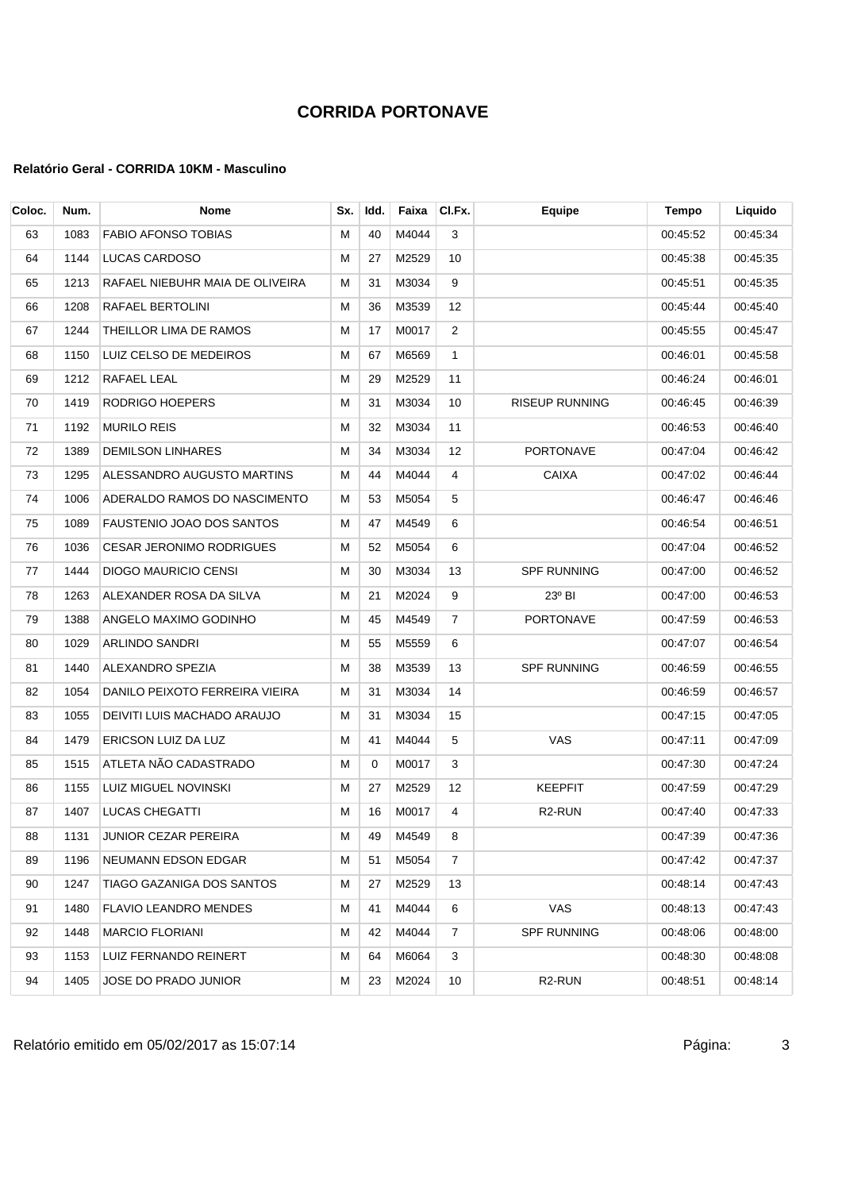| Coloc. | Num. | <b>Nome</b>                     | Sx. | Idd. | Faixa    | CI.Fx.         | <b>Equipe</b>         | Tempo    | Liquido  |
|--------|------|---------------------------------|-----|------|----------|----------------|-----------------------|----------|----------|
| 63     | 1083 | <b>FABIO AFONSO TOBIAS</b>      | м   | 40   | M4044    | 3              |                       | 00:45:52 | 00:45:34 |
| 64     | 1144 | LUCAS CARDOSO                   | м   | 27   | M2529    | 10             |                       | 00:45:38 | 00:45:35 |
| 65     | 1213 | RAFAEL NIEBUHR MAIA DE OLIVEIRA | М   | 31   | M3034    | 9              |                       | 00:45:51 | 00:45:35 |
| 66     | 1208 | RAFAEL BERTOLINI                | М   | 36   | M3539    | 12             |                       | 00:45:44 | 00:45:40 |
| 67     | 1244 | THEILLOR LIMA DE RAMOS          | М   | 17   | M0017    | 2              |                       | 00:45:55 | 00:45:47 |
| 68     | 1150 | LUIZ CELSO DE MEDEIROS          | М   | 67   | M6569    | $\mathbf{1}$   |                       | 00:46:01 | 00:45:58 |
| 69     | 1212 | RAFAEL LEAL                     | м   | 29   | M2529    | 11             |                       | 00:46:24 | 00:46:01 |
| 70     | 1419 | RODRIGO HOEPERS                 | М   | 31   | M3034    | 10             | <b>RISEUP RUNNING</b> | 00:46:45 | 00:46:39 |
| 71     | 1192 | <b>MURILO REIS</b>              | М   | 32   | M3034    | 11             |                       | 00:46:53 | 00:46:40 |
| 72     | 1389 | <b>DEMILSON LINHARES</b>        | М   | 34   | M3034    | 12             | <b>PORTONAVE</b>      | 00:47:04 | 00:46:42 |
| 73     | 1295 | ALESSANDRO AUGUSTO MARTINS      | M   | 44   | M4044    | 4              | <b>CAIXA</b>          | 00:47:02 | 00:46:44 |
| 74     | 1006 | ADERALDO RAMOS DO NASCIMENTO    | м   | 53   | M5054    | 5              |                       | 00:46:47 | 00:46:46 |
| 75     | 1089 | FAUSTENIO JOAO DOS SANTOS       | М   | 47   | M4549    | 6              |                       | 00:46:54 | 00:46:51 |
| 76     | 1036 | <b>CESAR JERONIMO RODRIGUES</b> | м   | 52   | M5054    | 6              |                       | 00:47:04 | 00:46:52 |
| 77     | 1444 | <b>DIOGO MAURICIO CENSI</b>     | М   | 30   | M3034    | 13             | <b>SPF RUNNING</b>    | 00:47:00 | 00:46:52 |
| 78     | 1263 | ALEXANDER ROSA DA SILVA         | M   | 21   | M2024    | 9              | 23° BI                | 00:47:00 | 00:46:53 |
| 79     | 1388 | ANGELO MAXIMO GODINHO           | М   | 45   | M4549    | $\overline{7}$ | PORTONAVE             | 00:47:59 | 00:46:53 |
| 80     | 1029 | ARLINDO SANDRI                  | М   | 55   | M5559    | 6              |                       | 00:47:07 | 00:46:54 |
| 81     | 1440 | ALEXANDRO SPEZIA                | М   | 38   | M3539    | 13             | <b>SPF RUNNING</b>    | 00:46:59 | 00:46:55 |
| 82     | 1054 | DANILO PEIXOTO FERREIRA VIEIRA  | М   | 31   | M3034    | 14             |                       | 00:46:59 | 00:46:57 |
| 83     | 1055 | DEIVITI LUIS MACHADO ARAUJO     | М   | 31   | M3034    | 15             |                       | 00:47:15 | 00:47:05 |
| 84     | 1479 | ERICSON LUIZ DA LUZ             | М   | 41   | M4044    | 5              | VAS                   | 00:47:11 | 00:47:09 |
| 85     | 1515 | ATLETA NÃO CADASTRADO           | М   | 0    | M0017    | 3              |                       | 00:47:30 | 00:47:24 |
| 86     | 1155 | LUIZ MIGUEL NOVINSKI            | М   | 27   | M2529    | 12             | <b>KEEPFIT</b>        | 00:47:59 | 00:47:29 |
| 87     | 1407 | <b>LUCAS CHEGATTI</b>           | М   | 16   | M0017    | 4              | R <sub>2</sub> -RUN   | 00:47:40 | 00:47:33 |
| 88     |      | 1131 JUNIOR CEZAR PEREIRA       | M   |      | 49 M4549 |                |                       | 00:47:39 | 00:47:36 |
| 89     | 1196 | NEUMANN EDSON EDGAR             | м   | 51   | M5054    | 7              |                       | 00:47:42 | 00:47:37 |
| 90     | 1247 | TIAGO GAZANIGA DOS SANTOS       | M   | 27   | M2529    | 13             |                       | 00:48:14 | 00:47:43 |
| 91     | 1480 | <b>FLAVIO LEANDRO MENDES</b>    | м   | 41   | M4044    | 6              | VAS                   | 00:48:13 | 00:47:43 |
| 92     | 1448 | <b>MARCIO FLORIANI</b>          | м   | 42   | M4044    | 7              | <b>SPF RUNNING</b>    | 00:48:06 | 00:48:00 |
| 93     | 1153 | LUIZ FERNANDO REINERT           | м   | 64   | M6064    | 3              |                       | 00:48:30 | 00:48:08 |
| 94     | 1405 | <b>JOSE DO PRADO JUNIOR</b>     | M   | 23   | M2024    | 10             | R <sub>2</sub> -RUN   | 00:48:51 | 00:48:14 |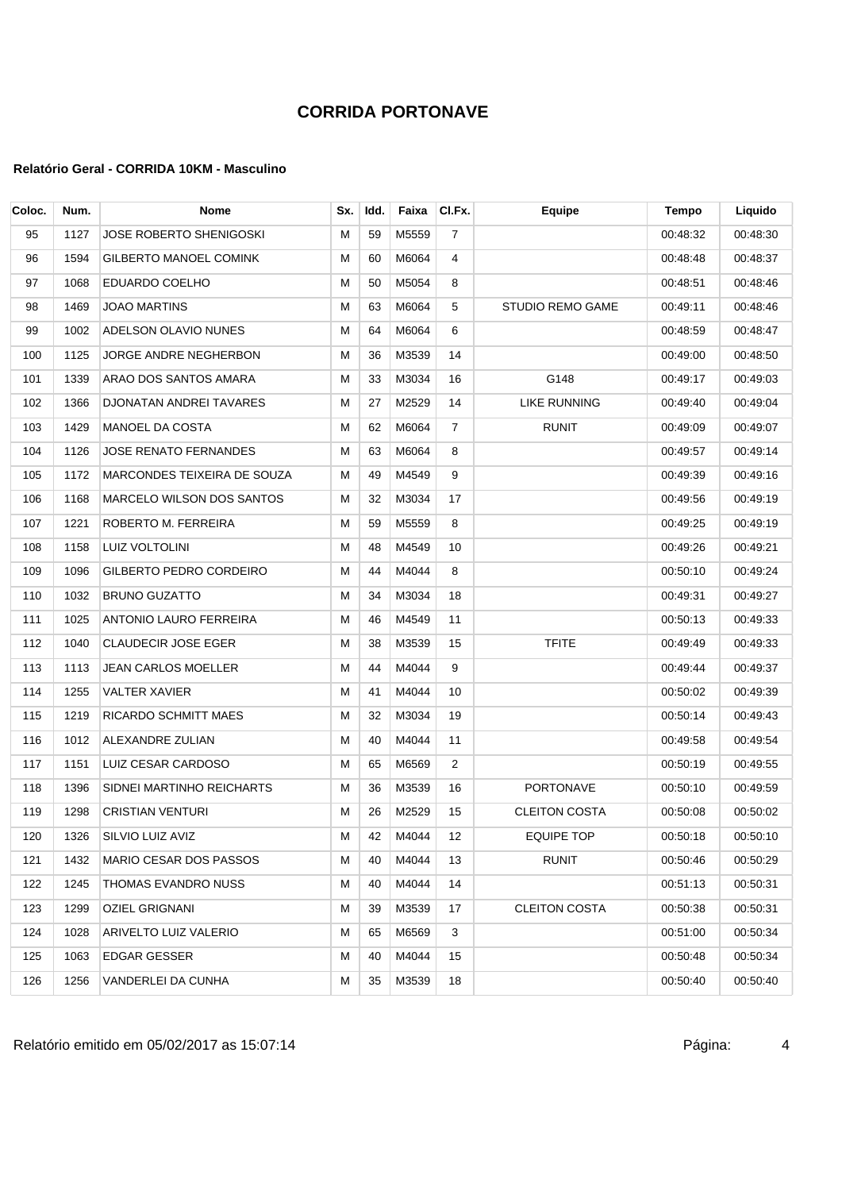| Coloc. | Num. | <b>Nome</b>                      | Sx. | Idd. | Faixa    | CI.Fx.         | Equipe                  | Tempo    | Liquido  |
|--------|------|----------------------------------|-----|------|----------|----------------|-------------------------|----------|----------|
| 95     | 1127 | JOSE ROBERTO SHENIGOSKI          | м   | 59   | M5559    | $\overline{7}$ |                         | 00:48:32 | 00:48:30 |
| 96     | 1594 | <b>GILBERTO MANOEL COMINK</b>    | м   | 60   | M6064    | 4              |                         | 00:48:48 | 00:48:37 |
| 97     | 1068 | EDUARDO COELHO                   | м   | 50   | M5054    | 8              |                         | 00:48:51 | 00:48:46 |
| 98     | 1469 | JOAO MARTINS                     | м   | 63   | M6064    | 5              | <b>STUDIO REMO GAME</b> | 00:49:11 | 00:48:46 |
| 99     | 1002 | ADELSON OLAVIO NUNES             | M   | 64   | M6064    | 6              |                         | 00:48:59 | 00:48:47 |
| 100    | 1125 | JORGE ANDRE NEGHERBON            | м   | 36   | M3539    | 14             |                         | 00:49:00 | 00:48:50 |
| 101    | 1339 | ARAO DOS SANTOS AMARA            | м   | 33   | M3034    | 16             | G148                    | 00:49:17 | 00:49:03 |
| 102    | 1366 | DJONATAN ANDREI TAVARES          | м   | 27   | M2529    | 14             | <b>LIKE RUNNING</b>     | 00:49:40 | 00:49:04 |
| 103    | 1429 | <b>MANOEL DA COSTA</b>           | М   | 62   | M6064    | 7              | <b>RUNIT</b>            | 00:49:09 | 00:49:07 |
| 104    | 1126 | JOSE RENATO FERNANDES            | M   | 63   | M6064    | 8              |                         | 00:49:57 | 00:49:14 |
| 105    | 1172 | MARCONDES TEIXEIRA DE SOUZA      | M   | 49   | M4549    | 9              |                         | 00:49:39 | 00:49:16 |
| 106    | 1168 | <b>MARCELO WILSON DOS SANTOS</b> | м   | 32   | M3034    | 17             |                         | 00:49:56 | 00:49:19 |
| 107    | 1221 | ROBERTO M. FERREIRA              | м   | 59   | M5559    | 8              |                         | 00:49:25 | 00:49:19 |
| 108    | 1158 | LUIZ VOLTOLINI                   | м   | 48   | M4549    | 10             |                         | 00:49:26 | 00:49:21 |
| 109    | 1096 | GILBERTO PEDRO CORDEIRO          | М   | 44   | M4044    | 8              |                         | 00:50:10 | 00:49:24 |
| 110    | 1032 | <b>BRUNO GUZATTO</b>             | М   | 34   | M3034    | 18             |                         | 00:49:31 | 00:49:27 |
| 111    | 1025 | ANTONIO LAURO FERREIRA           | м   | 46   | M4549    | 11             |                         | 00:50:13 | 00:49:33 |
| 112    | 1040 | <b>CLAUDECIR JOSE EGER</b>       | м   | 38   | M3539    | 15             | <b>TFITE</b>            | 00:49:49 | 00:49:33 |
| 113    | 1113 | JEAN CARLOS MOELLER              | м   | 44   | M4044    | 9              |                         | 00:49:44 | 00:49:37 |
| 114    | 1255 | <b>VALTER XAVIER</b>             | м   | 41   | M4044    | 10             |                         | 00:50:02 | 00:49:39 |
| 115    | 1219 | RICARDO SCHMITT MAES             | М   | 32   | M3034    | 19             |                         | 00:50:14 | 00:49:43 |
| 116    | 1012 | ALEXANDRE ZULIAN                 | М   | 40   | M4044    | 11             |                         | 00:49:58 | 00:49:54 |
| 117    | 1151 | LUIZ CESAR CARDOSO               | М   | 65   | M6569    | $\overline{2}$ |                         | 00:50:19 | 00:49:55 |
| 118    | 1396 | SIDNEI MARTINHO REICHARTS        | м   | 36   | M3539    | 16             | <b>PORTONAVE</b>        | 00:50:10 | 00:49:59 |
| 119    | 1298 | <b>CRISTIAN VENTURI</b>          | м   | 26   | M2529    | 15             | <b>CLEITON COSTA</b>    | 00:50:08 | 00:50:02 |
| 120    |      | 1326 SILVIO LUIZ AVIZ            | M   |      | 42 M4044 | 12             | <b>EQUIPE TOP</b>       | 00:50:18 | 00:50:10 |
| 121    | 1432 | <b>MARIO CESAR DOS PASSOS</b>    | м   | 40   | M4044    | 13             | <b>RUNIT</b>            | 00:50:46 | 00:50:29 |
| 122    | 1245 | THOMAS EVANDRO NUSS              | M   | 40   | M4044    | 14             |                         | 00:51:13 | 00:50:31 |
| 123    | 1299 | OZIEL GRIGNANI                   | м   | 39   | M3539    | 17             | <b>CLEITON COSTA</b>    | 00:50:38 | 00:50:31 |
| 124    | 1028 | ARIVELTO LUIZ VALERIO            | м   | 65   | M6569    | 3              |                         | 00:51:00 | 00:50:34 |
| 125    | 1063 | EDGAR GESSER                     | м   | 40   | M4044    | 15             |                         | 00:50:48 | 00:50:34 |
| 126    | 1256 | VANDERLEI DA CUNHA               | м   | 35   | M3539    | 18             |                         | 00:50:40 | 00:50:40 |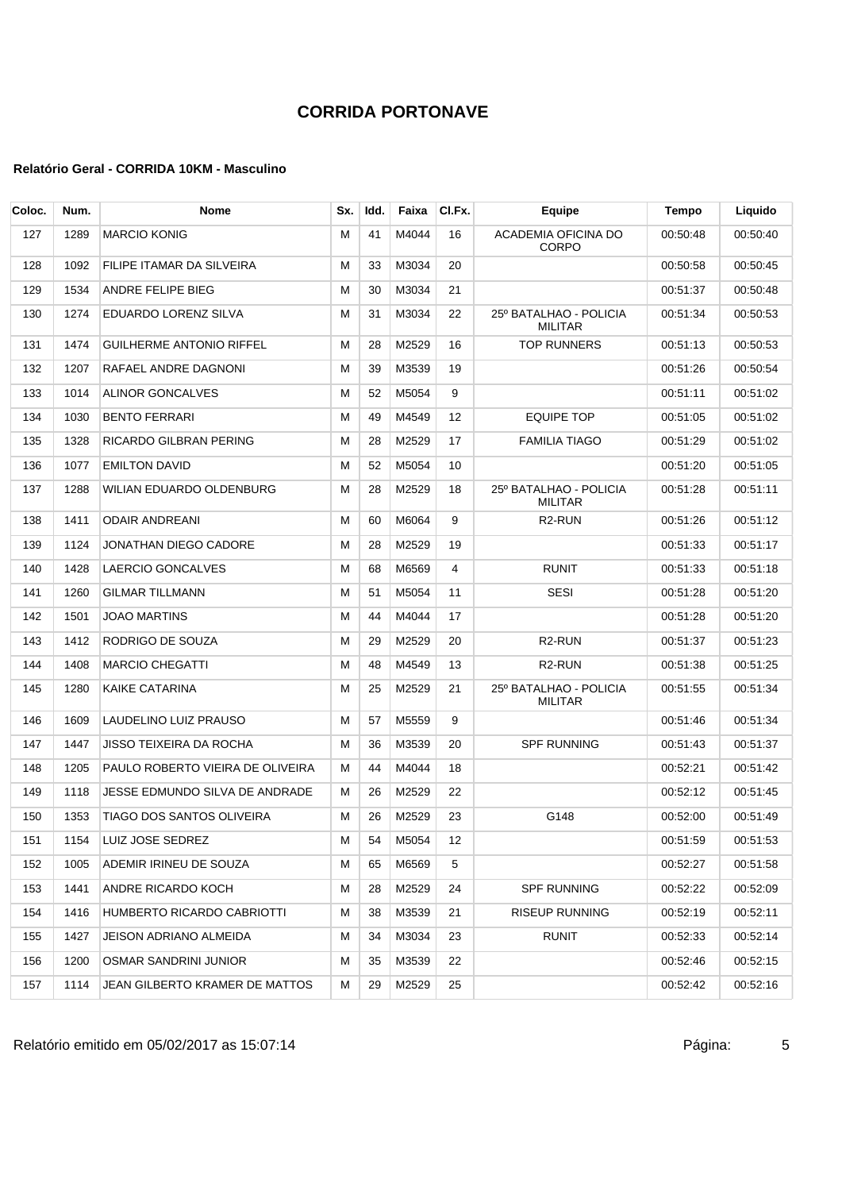| Coloc. | Num. | Nome                              | Sx. | Idd. | Faixa | CI.Fx. | Equipe                                   | Tempo    | Liquido  |
|--------|------|-----------------------------------|-----|------|-------|--------|------------------------------------------|----------|----------|
| 127    | 1289 | <b>MARCIO KONIG</b>               | м   | 41   | M4044 | 16     | ACADEMIA OFICINA DO<br><b>CORPO</b>      | 00:50:48 | 00:50:40 |
| 128    | 1092 | FILIPE ITAMAR DA SILVEIRA         | м   | 33   | M3034 | 20     |                                          | 00:50:58 | 00:50:45 |
| 129    | 1534 | ANDRE FELIPE BIEG                 | м   | 30   | M3034 | 21     |                                          | 00:51:37 | 00:50:48 |
| 130    | 1274 | EDUARDO LORENZ SILVA              | М   | 31   | M3034 | 22     | 25º BATALHAO - POLICIA<br><b>MILITAR</b> | 00:51:34 | 00:50:53 |
| 131    | 1474 | <b>GUILHERME ANTONIO RIFFEL</b>   | м   | 28   | M2529 | 16     | <b>TOP RUNNERS</b>                       | 00:51:13 | 00:50:53 |
| 132    | 1207 | RAFAEL ANDRE DAGNONI              | м   | 39   | M3539 | 19     |                                          | 00:51:26 | 00:50:54 |
| 133    | 1014 | ALINOR GONCALVES                  | м   | 52   | M5054 | 9      |                                          | 00:51:11 | 00:51:02 |
| 134    | 1030 | <b>BENTO FERRARI</b>              | м   | 49   | M4549 | 12     | <b>EQUIPE TOP</b>                        | 00:51:05 | 00:51:02 |
| 135    | 1328 | RICARDO GILBRAN PERING            | м   | 28   | M2529 | 17     | FAMILIA TIAGO                            | 00:51:29 | 00:51:02 |
| 136    | 1077 | <b>EMILTON DAVID</b>              | м   | 52   | M5054 | 10     |                                          | 00:51:20 | 00:51:05 |
| 137    | 1288 | WILIAN EDUARDO OLDENBURG          | М   | 28   | M2529 | 18     | 25º BATALHAO - POLICIA<br><b>MILITAR</b> | 00:51:28 | 00:51:11 |
| 138    | 1411 | <b>ODAIR ANDREANI</b>             | м   | 60   | M6064 | 9      | R <sub>2</sub> -RUN                      | 00:51:26 | 00:51:12 |
| 139    | 1124 | JONATHAN DIEGO CADORE             | м   | 28   | M2529 | 19     |                                          | 00:51:33 | 00:51:17 |
| 140    | 1428 | LAERCIO GONCALVES                 | М   | 68   | M6569 | 4      | <b>RUNIT</b>                             | 00:51:33 | 00:51:18 |
| 141    | 1260 | <b>GILMAR TILLMANN</b>            | М   | 51   | M5054 | 11     | <b>SESI</b>                              | 00:51:28 | 00:51:20 |
| 142    | 1501 | <b>JOAO MARTINS</b>               | м   | 44   | M4044 | 17     |                                          | 00:51:28 | 00:51:20 |
| 143    | 1412 | RODRIGO DE SOUZA                  | М   | 29   | M2529 | 20     | R <sub>2</sub> -RUN                      | 00:51:37 | 00:51:23 |
| 144    | 1408 | <b>MARCIO CHEGATTI</b>            | м   | 48   | M4549 | 13     | R <sub>2</sub> -RUN                      | 00:51:38 | 00:51:25 |
| 145    | 1280 | KAIKE CATARINA                    | м   | 25   | M2529 | 21     | 25º BATALHAO - POLICIA<br><b>MILITAR</b> | 00:51:55 | 00:51:34 |
| 146    | 1609 | LAUDELINO LUIZ PRAUSO             | м   | 57   | M5559 | 9      |                                          | 00:51:46 | 00:51:34 |
| 147    | 1447 | JISSO TEIXEIRA DA ROCHA           | м   | 36   | M3539 | 20     | <b>SPF RUNNING</b>                       | 00:51:43 | 00:51:37 |
| 148    | 1205 | PAULO ROBERTO VIEIRA DE OLIVEIRA  | м   | 44   | M4044 | 18     |                                          | 00:52:21 | 00:51:42 |
| 149    | 1118 | JESSE EDMUNDO SILVA DE ANDRADE    | м   | 26   | M2529 | 22     |                                          | 00:52:12 | 00:51:45 |
| 150    | 1353 | <b>TIAGO DOS SANTOS OLIVEIRA</b>  | м   | 26   | M2529 | 23     | G148                                     | 00:52:00 | 00:51:49 |
| 151    | 1154 | LUIZ JOSE SEDREZ                  | м   | 54   | M5054 | 12     |                                          | 00:51:59 | 00:51:53 |
| 152    | 1005 | ADEMIR IRINEU DE SOUZA            | м   | 65   | M6569 | 5      |                                          | 00:52:27 | 00:51:58 |
| 153    | 1441 | ANDRE RICARDO KOCH                | м   | 28   | M2529 | 24     | <b>SPF RUNNING</b>                       | 00:52:22 | 00:52:09 |
| 154    | 1416 | <b>HUMBERTO RICARDO CABRIOTTI</b> | м   | 38   | M3539 | 21     | <b>RISEUP RUNNING</b>                    | 00:52:19 | 00:52:11 |
| 155    | 1427 | JEISON ADRIANO ALMEIDA            | м   | 34   | M3034 | 23     | <b>RUNIT</b>                             | 00:52:33 | 00:52:14 |
| 156    | 1200 | <b>OSMAR SANDRINI JUNIOR</b>      | м   | 35   | M3539 | 22     |                                          | 00:52:46 | 00:52:15 |
| 157    | 1114 | JEAN GILBERTO KRAMER DE MATTOS    | м   | 29   | M2529 | 25     |                                          | 00:52:42 | 00:52:16 |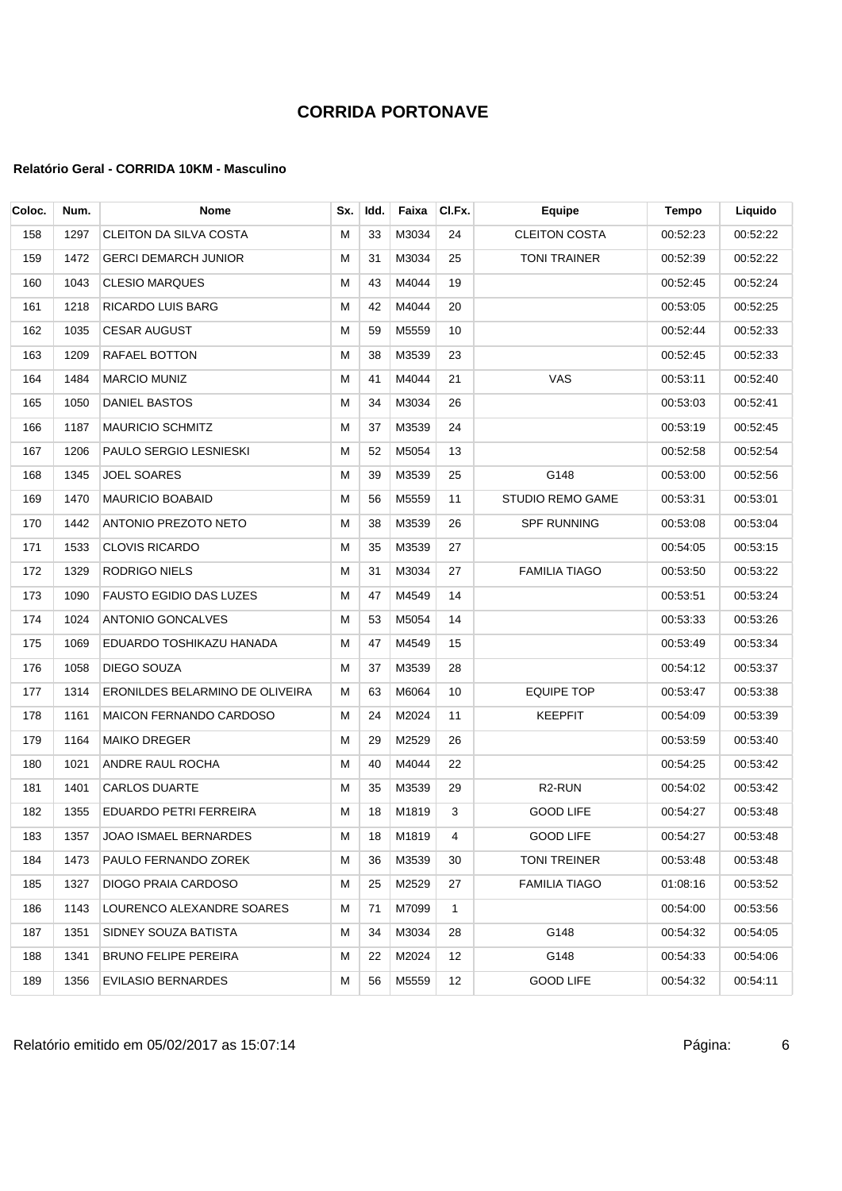| Coloc. | Num. | <b>Nome</b>                     | Sx. | Idd. | Faixa    | CI.Fx.         | Equipe                  | <b>Tempo</b> | Liquido  |
|--------|------|---------------------------------|-----|------|----------|----------------|-------------------------|--------------|----------|
| 158    | 1297 | CLEITON DA SILVA COSTA          | м   | 33   | M3034    | 24             | <b>CLEITON COSTA</b>    | 00:52:23     | 00:52:22 |
| 159    | 1472 | <b>GERCI DEMARCH JUNIOR</b>     | м   | 31   | M3034    | 25             | <b>TONI TRAINER</b>     | 00:52:39     | 00:52:22 |
| 160    | 1043 | <b>CLESIO MARQUES</b>           | м   | 43   | M4044    | 19             |                         | 00:52:45     | 00:52:24 |
| 161    | 1218 | RICARDO LUIS BARG               | М   | 42   | M4044    | 20             |                         | 00:53:05     | 00:52:25 |
| 162    | 1035 | <b>CESAR AUGUST</b>             | м   | 59   | M5559    | 10             |                         | 00:52:44     | 00:52:33 |
| 163    | 1209 | RAFAEL BOTTON                   | м   | 38   | M3539    | 23             |                         | 00:52:45     | 00:52:33 |
| 164    | 1484 | <b>MARCIO MUNIZ</b>             | м   | 41   | M4044    | 21             | VAS                     | 00:53:11     | 00:52:40 |
| 165    | 1050 | DANIEL BASTOS                   | м   | 34   | M3034    | 26             |                         | 00:53:03     | 00:52:41 |
| 166    | 1187 | <b>MAURICIO SCHMITZ</b>         | м   | 37   | M3539    | 24             |                         | 00:53:19     | 00:52:45 |
| 167    | 1206 | PAULO SERGIO LESNIESKI          | М   | 52   | M5054    | 13             |                         | 00:52:58     | 00:52:54 |
| 168    | 1345 | JOEL SOARES                     | м   | 39   | M3539    | 25             | G148                    | 00:53:00     | 00:52:56 |
| 169    | 1470 | <b>MAURICIO BOABAID</b>         | м   | 56   | M5559    | 11             | <b>STUDIO REMO GAME</b> | 00:53:31     | 00:53:01 |
| 170    | 1442 | ANTONIO PREZOTO NETO            | М   | 38   | M3539    | 26             | <b>SPF RUNNING</b>      | 00:53:08     | 00:53:04 |
| 171    | 1533 | <b>CLOVIS RICARDO</b>           | м   | 35   | M3539    | 27             |                         | 00:54:05     | 00:53:15 |
| 172    | 1329 | RODRIGO NIELS                   | м   | 31   | M3034    | 27             | <b>FAMILIA TIAGO</b>    | 00:53:50     | 00:53:22 |
| 173    | 1090 | <b>FAUSTO EGIDIO DAS LUZES</b>  | М   | 47   | M4549    | 14             |                         | 00:53:51     | 00:53:24 |
| 174    | 1024 | <b>ANTONIO GONCALVES</b>        | м   | 53   | M5054    | 14             |                         | 00:53:33     | 00:53:26 |
| 175    | 1069 | EDUARDO TOSHIKAZU HANADA        | M   | 47   | M4549    | 15             |                         | 00:53:49     | 00:53:34 |
| 176    | 1058 | DIEGO SOUZA                     | м   | 37   | M3539    | 28             |                         | 00:54:12     | 00:53:37 |
| 177    | 1314 | ERONILDES BELARMINO DE OLIVEIRA | М   | 63   | M6064    | 10             | <b>EQUIPE TOP</b>       | 00:53:47     | 00:53:38 |
| 178    | 1161 | <b>MAICON FERNANDO CARDOSO</b>  | м   | 24   | M2024    | 11             | <b>KEEPFIT</b>          | 00:54:09     | 00:53:39 |
| 179    | 1164 | <b>MAIKO DREGER</b>             | М   | 29   | M2529    | 26             |                         | 00:53:59     | 00:53:40 |
| 180    | 1021 | ANDRE RAUL ROCHA                | м   | 40   | M4044    | 22             |                         | 00:54:25     | 00:53:42 |
| 181    | 1401 | <b>CARLOS DUARTE</b>            | м   | 35   | M3539    | 29             | R <sub>2</sub> -RUN     | 00:54:02     | 00:53:42 |
| 182    | 1355 | EDUARDO PETRI FERREIRA          | м   | 18   | M1819    | 3              | <b>GOOD LIFE</b>        | 00:54:27     | 00:53:48 |
| 183    |      | 1357 JOAO ISMAEL BERNARDES      | M   |      | 18 M1819 | $\overline{4}$ | <b>GOOD LIFE</b>        | 00:54:27     | 00:53:48 |
| 184    | 1473 | PAULO FERNANDO ZOREK            | м   | 36   | M3539    | 30             | TONI TREINER            | 00:53:48     | 00:53:48 |
| 185    | 1327 | DIOGO PRAIA CARDOSO             | м   | 25   | M2529    | 27             | FAMILIA TIAGO           | 01:08:16     | 00:53:52 |
| 186    | 1143 | LOURENCO ALEXANDRE SOARES       | м   | 71   | M7099    | 1              |                         | 00:54:00     | 00:53:56 |
| 187    | 1351 | SIDNEY SOUZA BATISTA            | M   | 34   | M3034    | 28             | G148                    | 00:54:32     | 00:54:05 |
| 188    | 1341 | BRUNO FELIPE PEREIRA            | м   | 22   | M2024    | 12             | G148                    | 00:54:33     | 00:54:06 |
| 189    | 1356 | <b>EVILASIO BERNARDES</b>       | м   | 56   | M5559    | 12             | <b>GOOD LIFE</b>        | 00:54:32     | 00:54:11 |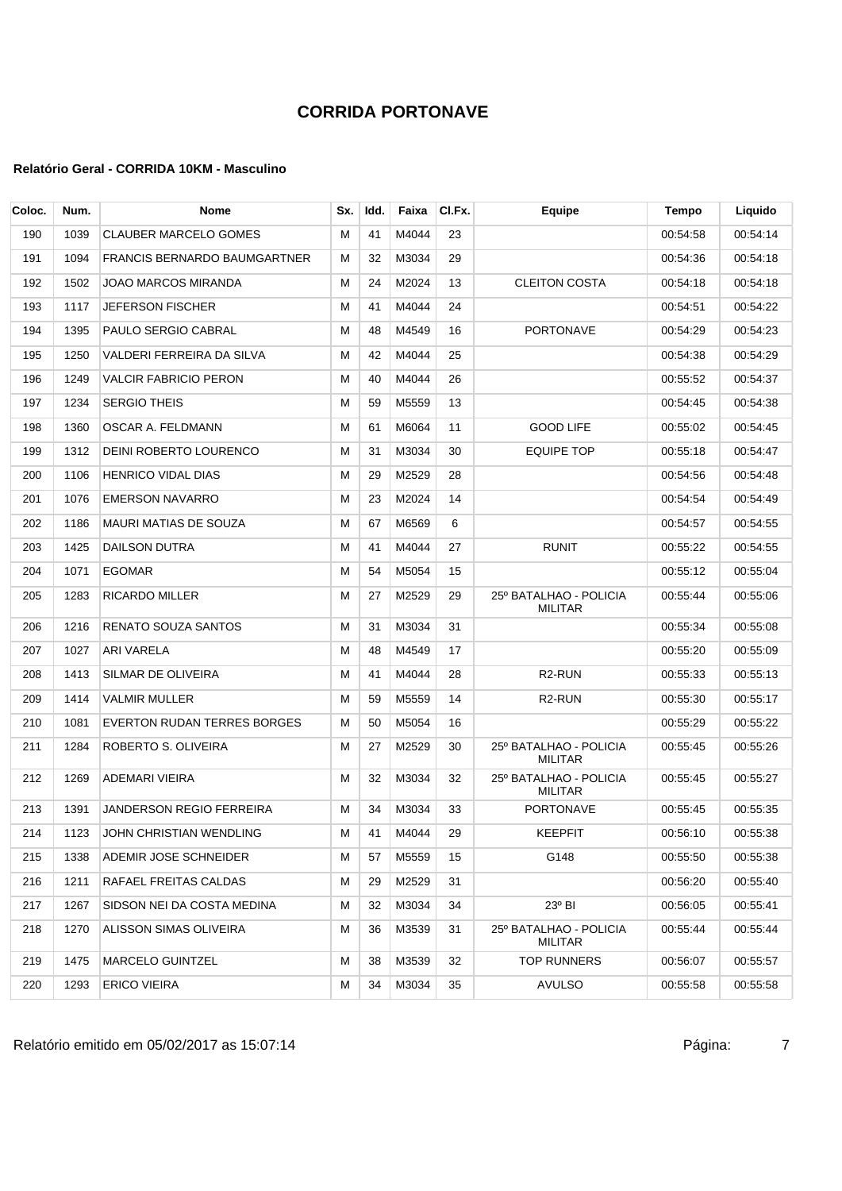| Coloc. | Num. | Nome                                | Sx. | Idd. | Faixa | CI.Fx. | Equipe                                   | Tempo    | Liquido  |
|--------|------|-------------------------------------|-----|------|-------|--------|------------------------------------------|----------|----------|
| 190    | 1039 | <b>CLAUBER MARCELO GOMES</b>        | м   | 41   | M4044 | 23     |                                          | 00:54:58 | 00:54:14 |
| 191    | 1094 | <b>FRANCIS BERNARDO BAUMGARTNER</b> | м   | 32   | M3034 | 29     |                                          | 00:54:36 | 00:54:18 |
| 192    | 1502 | JOAO MARCOS MIRANDA                 | М   | 24   | M2024 | 13     | <b>CLEITON COSTA</b>                     | 00:54:18 | 00:54:18 |
| 193    | 1117 | JEFERSON FISCHER                    | м   | 41   | M4044 | 24     |                                          | 00:54:51 | 00:54:22 |
| 194    | 1395 | PAULO SERGIO CABRAL                 | м   | 48   | M4549 | 16     | <b>PORTONAVE</b>                         | 00:54:29 | 00:54:23 |
| 195    | 1250 | VALDERI FERREIRA DA SILVA           | м   | 42   | M4044 | 25     |                                          | 00:54:38 | 00:54:29 |
| 196    | 1249 | VALCIR FABRICIO PERON               | м   | 40   | M4044 | 26     |                                          | 00:55:52 | 00:54:37 |
| 197    | 1234 | <b>SERGIO THEIS</b>                 | м   | 59   | M5559 | 13     |                                          | 00:54:45 | 00:54:38 |
| 198    | 1360 | OSCAR A. FELDMANN                   | М   | 61   | M6064 | 11     | <b>GOOD LIFE</b>                         | 00:55:02 | 00:54:45 |
| 199    | 1312 | DEINI ROBERTO LOURENCO              | М   | 31   | M3034 | 30     | <b>EQUIPE TOP</b>                        | 00:55:18 | 00:54:47 |
| 200    | 1106 | HENRICO VIDAL DIAS                  | м   | 29   | M2529 | 28     |                                          | 00:54:56 | 00:54:48 |
| 201    | 1076 | <b>EMERSON NAVARRO</b>              | м   | 23   | M2024 | 14     |                                          | 00:54:54 | 00:54:49 |
| 202    | 1186 | <b>MAURI MATIAS DE SOUZA</b>        | M   | 67   | M6569 | 6      |                                          | 00:54:57 | 00:54:55 |
| 203    | 1425 | DAILSON DUTRA                       | М   | 41   | M4044 | 27     | <b>RUNIT</b>                             | 00:55:22 | 00:54:55 |
| 204    | 1071 | <b>EGOMAR</b>                       | М   | 54   | M5054 | 15     |                                          | 00:55:12 | 00:55:04 |
| 205    | 1283 | <b>RICARDO MILLER</b>               | М   | 27   | M2529 | 29     | 25° BATALHAO - POLICIA<br><b>MILITAR</b> | 00:55:44 | 00:55:06 |
| 206    | 1216 | RENATO SOUZA SANTOS                 | м   | 31   | M3034 | 31     |                                          | 00:55:34 | 00:55:08 |
| 207    | 1027 | <b>ARI VARELA</b>                   | м   | 48   | M4549 | 17     |                                          | 00:55:20 | 00:55:09 |
| 208    | 1413 | SILMAR DE OLIVEIRA                  | м   | 41   | M4044 | 28     | R <sub>2</sub> -RUN                      | 00:55:33 | 00:55:13 |
| 209    | 1414 | VALMIR MULLER                       | м   | 59   | M5559 | 14     | R <sub>2</sub> -RUN                      | 00:55:30 | 00:55:17 |
| 210    | 1081 | <b>EVERTON RUDAN TERRES BORGES</b>  | М   | 50   | M5054 | 16     |                                          | 00:55:29 | 00:55:22 |
| 211    | 1284 | ROBERTO S. OLIVEIRA                 | м   | 27   | M2529 | 30     | 25° BATALHAO - POLICIA<br><b>MILITAR</b> | 00:55:45 | 00:55:26 |
| 212    | 1269 | ADEMARI VIEIRA                      | м   | 32   | M3034 | 32     | 25º BATALHAO - POLICIA<br>MILITAR        | 00:55:45 | 00:55:27 |
| 213    | 1391 | <b>JANDERSON REGIO FERREIRA</b>     | м   | 34   | M3034 | 33     | <b>PORTONAVE</b>                         | 00:55:45 | 00:55:35 |
| 214    | 1123 | JOHN CHRISTIAN WENDLING             | M   | 41   | M4044 | 29     | <b>KEEPFIT</b>                           | 00:56:10 | 00:55:38 |
| 215    | 1338 | ADEMIR JOSE SCHNEIDER               | м   | 57   | M5559 | 15     | G148                                     | 00:55:50 | 00:55:38 |
| 216    | 1211 | RAFAEL FREITAS CALDAS               | м   | 29   | M2529 | 31     |                                          | 00:56:20 | 00:55:40 |
| 217    | 1267 | SIDSON NEI DA COSTA MEDINA          | М   | 32   | M3034 | 34     | $23^{\circ}$ BI                          | 00:56:05 | 00 55:41 |
| 218    | 1270 | ALISSON SIMAS OLIVEIRA              | м   | 36   | M3539 | 31     | 25º BATALHAO - POLICIA<br><b>MILITAR</b> | 00:55:44 | 00:55:44 |
| 219    | 1475 | <b>MARCELO GUINTZEL</b>             | М   | 38   | M3539 | 32     | <b>TOP RUNNERS</b>                       | 00:56:07 | 00:55:57 |
| 220    | 1293 | ERICO VIEIRA                        | M   | 34   | M3034 | 35     | <b>AVULSO</b>                            | 00:55:58 | 00:55:58 |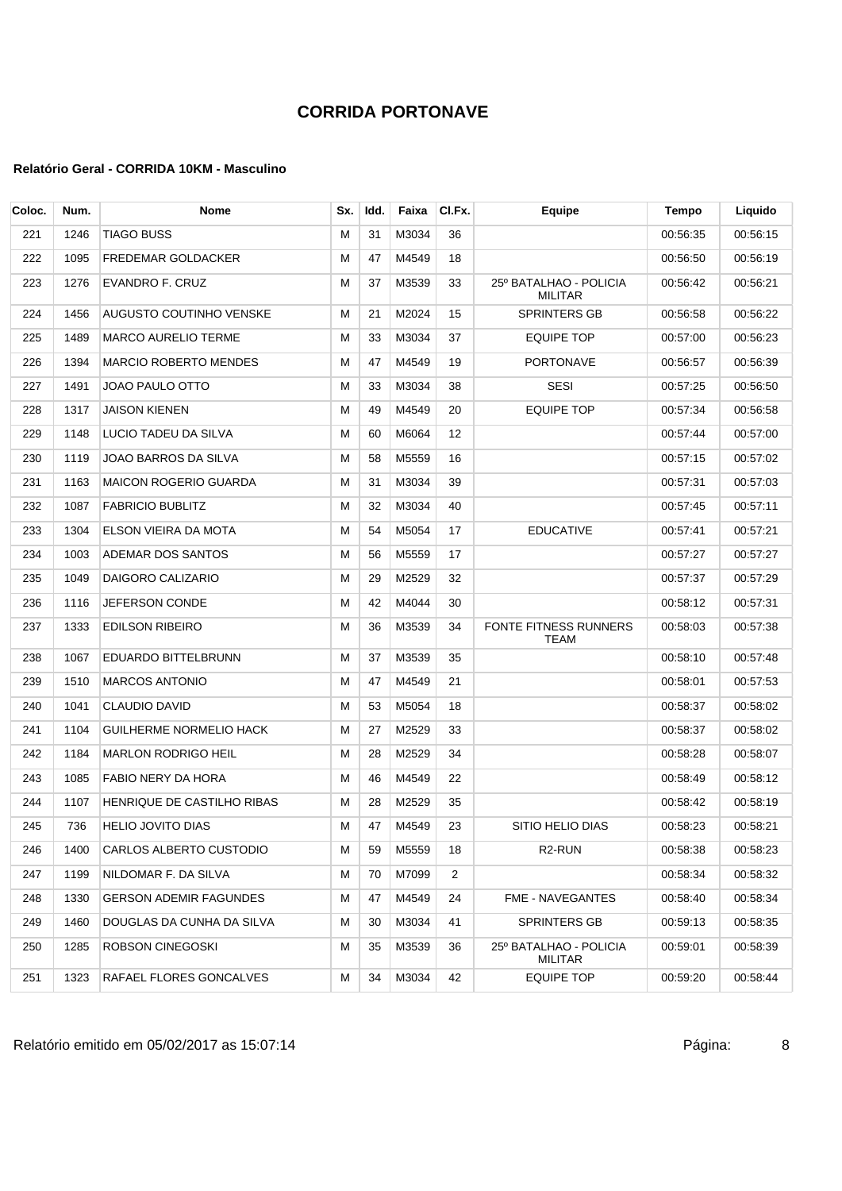| Coloc. | Num. | Nome                          | Sx. | Idd. | Faixa | CI.Fx. | <b>Equipe</b>                            | Tempo    | Liquido  |
|--------|------|-------------------------------|-----|------|-------|--------|------------------------------------------|----------|----------|
| 221    | 1246 | TIAGO BUSS                    | м   | 31   | M3034 | 36     |                                          | 00:56:35 | 00:56:15 |
| 222    | 1095 | FREDEMAR GOLDACKER            | м   | 47   | M4549 | 18     |                                          | 00:56:50 | 00:56:19 |
| 223    | 1276 | EVANDRO F. CRUZ               | M   | 37   | M3539 | 33     | 25º BATALHAO - POLICIA<br><b>MILITAR</b> | 00:56:42 | 00:56:21 |
| 224    | 1456 | AUGUSTO COUTINHO VENSKE       | M   | 21   | M2024 | 15     | <b>SPRINTERS GB</b>                      | 00:56:58 | 00:56:22 |
| 225    | 1489 | <b>MARCO AURELIO TERME</b>    | м   | 33   | M3034 | 37     | <b>EQUIPE TOP</b>                        | 00:57:00 | 00:56:23 |
| 226    | 1394 | <b>MARCIO ROBERTO MENDES</b>  | м   | 47   | M4549 | 19     | <b>PORTONAVE</b>                         | 00:56:57 | 00:56:39 |
| 227    | 1491 | JOAO PAULO OTTO               | M   | 33   | M3034 | 38     | <b>SESI</b>                              | 00:57:25 | 00:56:50 |
| 228    | 1317 | JAISON KIENEN                 | M   | 49   | M4549 | 20     | <b>EQUIPE TOP</b>                        | 00:57:34 | 00:56:58 |
| 229    | 1148 | LUCIO TADEU DA SILVA          | м   | 60   | M6064 | 12     |                                          | 00:57:44 | 00:57:00 |
| 230    | 1119 | JOAO BARROS DA SILVA          | M   | 58   | M5559 | 16     |                                          | 00:57:15 | 00:57:02 |
| 231    | 1163 | <b>MAICON ROGERIO GUARDA</b>  | м   | 31   | M3034 | 39     |                                          | 00:57:31 | 00:57:03 |
| 232    | 1087 | <b>FABRICIO BUBLITZ</b>       | M   | 32   | M3034 | 40     |                                          | 00:57:45 | 00:57:11 |
| 233    | 1304 | ELSON VIEIRA DA MOTA          | M   | 54   | M5054 | 17     | <b>EDUCATIVE</b>                         | 00:57:41 | 00:57:21 |
| 234    | 1003 | ADEMAR DOS SANTOS             | м   | 56   | M5559 | 17     |                                          | 00:57:27 | 00:57:27 |
| 235    | 1049 | DAIGORO CALIZARIO             | М   | 29   | M2529 | 32     |                                          | 00:57:37 | 00:57:29 |
| 236    | 1116 | <b>JEFERSON CONDE</b>         | M   | 42   | M4044 | 30     |                                          | 00:58:12 | 00:57:31 |
| 237    | 1333 | <b>EDILSON RIBEIRO</b>        | м   | 36   | M3539 | 34     | FONTE FITNESS RUNNERS<br><b>TEAM</b>     | 00:58:03 | 00:57:38 |
| 238    | 1067 | EDUARDO BITTELBRUNN           | M   | 37   | M3539 | 35     |                                          | 00:58:10 | 00:57:48 |
| 239    | 1510 | <b>MARCOS ANTONIO</b>         | м   | 47   | M4549 | 21     |                                          | 00:58:01 | 00:57:53 |
| 240    | 1041 | <b>CLAUDIO DAVID</b>          | М   | 53   | M5054 | 18     |                                          | 00:58:37 | 00:58:02 |
| 241    | 1104 | GUILHERME NORMELIO HACK       | M   | 27   | M2529 | 33     |                                          | 00:58:37 | 00:58:02 |
| 242    | 1184 | <b>MARLON RODRIGO HEIL</b>    | м   | 28   | M2529 | 34     |                                          | 00:58:28 | 00:58:07 |
| 243    | 1085 | FABIO NERY DA HORA            | M   | 46   | M4549 | 22     |                                          | 00:58:49 | 00:58:12 |
| 244    | 1107 | HENRIQUE DE CASTILHO RIBAS    | м   | 28   | M2529 | 35     |                                          | 00:58:42 | 00:58:19 |
| 245    | 736  | HELIO JOVITO DIAS             | М   | 47   | M4549 | 23     | SITIO HELIO DIAS                         | 00:58:23 | 00:58:21 |
| 246    | 1400 | CARLOS ALBERTO CUSTODIO       | м   | 59   | M5559 | 18     | R <sub>2</sub> -RUN                      | 00:58:38 | 00:58:23 |
| 247    | 1199 | NILDOMAR F. DA SILVA          | м   | 70   | M7099 | 2      |                                          | 00:58:34 | 00:58:32 |
| 248    | 1330 | <b>GERSON ADEMIR FAGUNDES</b> | м   | 47   | M4549 | 24     | FME - NAVEGANTES                         | 00:58:40 | 00:58:34 |
| 249    | 1460 | DOUGLAS DA CUNHA DA SILVA     | м   | 30   | M3034 | 41     | SPRINTERS GB                             | 00:59:13 | 00:58:35 |
| 250    | 1285 | ROBSON CINEGOSKI              | м   | 35   | M3539 | 36     | 25º BATALHAO - POLICIA<br><b>MILITAR</b> | 00:59:01 | 00:58:39 |
| 251    | 1323 | RAFAEL FLORES GONCALVES       | M   | 34   | M3034 | 42     | <b>EQUIPE TOP</b>                        | 00:59:20 | 00:58:44 |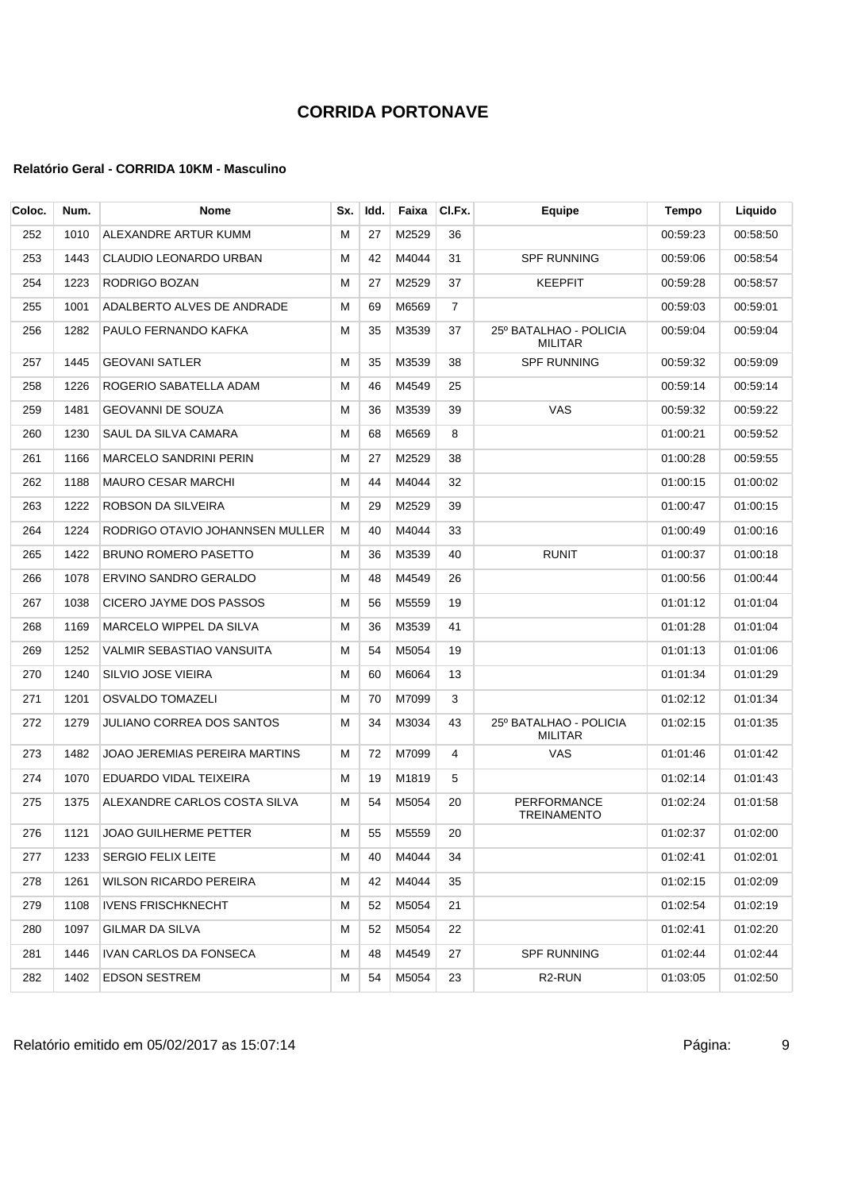| Coloc. | Num. | <b>Nome</b>                     | Sx. | Idd. | Faixa | CI.Fx. | Equipe                                   | Tempo    | Liquido  |
|--------|------|---------------------------------|-----|------|-------|--------|------------------------------------------|----------|----------|
| 252    | 1010 | ALEXANDRE ARTUR KUMM            | м   | 27   | M2529 | 36     |                                          | 00:59:23 | 00:58:50 |
| 253    | 1443 | CLAUDIO LEONARDO URBAN          | м   | 42   | M4044 | 31     | <b>SPF RUNNING</b>                       | 00:59:06 | 00:58:54 |
| 254    | 1223 | RODRIGO BOZAN                   | м   | 27   | M2529 | 37     | <b>KEEPFIT</b>                           | 00:59:28 | 00:58:57 |
| 255    | 1001 | ADALBERTO ALVES DE ANDRADE      | М   | 69   | M6569 | 7      |                                          | 00:59:03 | 00:59:01 |
| 256    | 1282 | PAULO FERNANDO KAFKA            | M   | 35   | M3539 | 37     | 25º BATALHAO - POLICIA<br><b>MILITAR</b> | 00:59:04 | 00:59:04 |
| 257    | 1445 | <b>GEOVANI SATLER</b>           | м   | 35   | M3539 | 38     | <b>SPF RUNNING</b>                       | 00:59:32 | 00:59:09 |
| 258    | 1226 | ROGERIO SABATELLA ADAM          | м   | 46   | M4549 | 25     |                                          | 00:59:14 | 00:59:14 |
| 259    | 1481 | <b>GEOVANNI DE SOUZA</b>        | м   | 36   | M3539 | 39     | VAS                                      | 00:59:32 | 00:59:22 |
| 260    | 1230 | SAUL DA SILVA CAMARA            | М   | 68   | M6569 | 8      |                                          | 01:00:21 | 00:59:52 |
| 261    | 1166 | <b>MARCELO SANDRINI PERIN</b>   | M   | 27   | M2529 | 38     |                                          | 01:00:28 | 00:59:55 |
| 262    | 1188 | <b>MAURO CESAR MARCHI</b>       | м   | 44   | M4044 | 32     |                                          | 01:00:15 | 01:00:02 |
| 263    | 1222 | ROBSON DA SILVEIRA              | м   | 29   | M2529 | 39     |                                          | 01:00:47 | 01:00:15 |
| 264    | 1224 | RODRIGO OTAVIO JOHANNSEN MULLER | м   | 40   | M4044 | 33     |                                          | 01:00:49 | 01:00:16 |
| 265    | 1422 | <b>BRUNO ROMERO PASETTO</b>     | м   | 36   | M3539 | 40     | <b>RUNIT</b>                             | 01:00:37 | 01:00:18 |
| 266    | 1078 | ERVINO SANDRO GERALDO           | М   | 48   | M4549 | 26     |                                          | 01:00:56 | 01:00:44 |
| 267    | 1038 | CICERO JAYME DOS PASSOS         | M   | 56   | M5559 | 19     |                                          | 01:01:12 | 01:01:04 |
| 268    | 1169 | MARCELO WIPPEL DA SILVA         | м   | 36   | M3539 | 41     |                                          | 01:01:28 | 01:01:04 |
| 269    | 1252 | VALMIR SEBASTIAO VANSUITA       | м   | 54   | M5054 | 19     |                                          | 01:01:13 | 01:01:06 |
| 270    | 1240 | SILVIO JOSE VIEIRA              | м   | 60   | M6064 | 13     |                                          | 01:01:34 | 01:01:29 |
| 271    | 1201 | OSVALDO TOMAZELI                | м   | 70   | M7099 | 3      |                                          | 01:02:12 | 01:01:34 |
| 272    | 1279 | JULIANO CORREA DOS SANTOS       | M   | 34   | M3034 | 43     | 25º BATALHAO - POLICIA<br><b>MILITAR</b> | 01:02:15 | 01:01:35 |
| 273    | 1482 | JOAO JEREMIAS PEREIRA MARTINS   | м   | 72   | M7099 | 4      | VAS                                      | 01:01:46 | 01:01:42 |
| 274    | 1070 | EDUARDO VIDAL TEIXEIRA          | м   | 19   | M1819 | 5      |                                          | 01:02:14 | 01:01:43 |
| 275    | 1375 | ALEXANDRE CARLOS COSTA SILVA    | м   | 54   | M5054 | 20     | <b>PERFORMANCE</b><br><b>TREINAMENTO</b> | 01:02:24 | 01:01:58 |
| 276    | 1121 | JOAO GUILHERME PETTER           | M   | 55   | M5559 | 20     |                                          | 01:02:37 | 01:02:00 |
| 277    | 1233 | <b>SERGIO FELIX LEITE</b>       | M   | 40   | M4044 | 34     |                                          | 01:02:41 | 01:02:01 |
| 278    | 1261 | WILSON RICARDO PEREIRA          | м   | 42   | M4044 | 35     |                                          | 01:02:15 | 01:02:09 |
| 279    | 1108 | <b>IVENS FRISCHKNECHT</b>       | м   | 52   | M5054 | 21     |                                          | 01:02:54 | 01:02:19 |
| 280    | 1097 | <b>GILMAR DA SILVA</b>          | M   | 52   | M5054 | 22     |                                          | 01:02:41 | 01:02:20 |
| 281    | 1446 | IVAN CARLOS DA FONSECA          | м   | 48   | M4549 | 27     | <b>SPF RUNNING</b>                       | 01:02:44 | 01:02:44 |
| 282    | 1402 | <b>EDSON SESTREM</b>            | м   | 54   | M5054 | 23     | R <sub>2</sub> -RUN                      | 01:03:05 | 01:02:50 |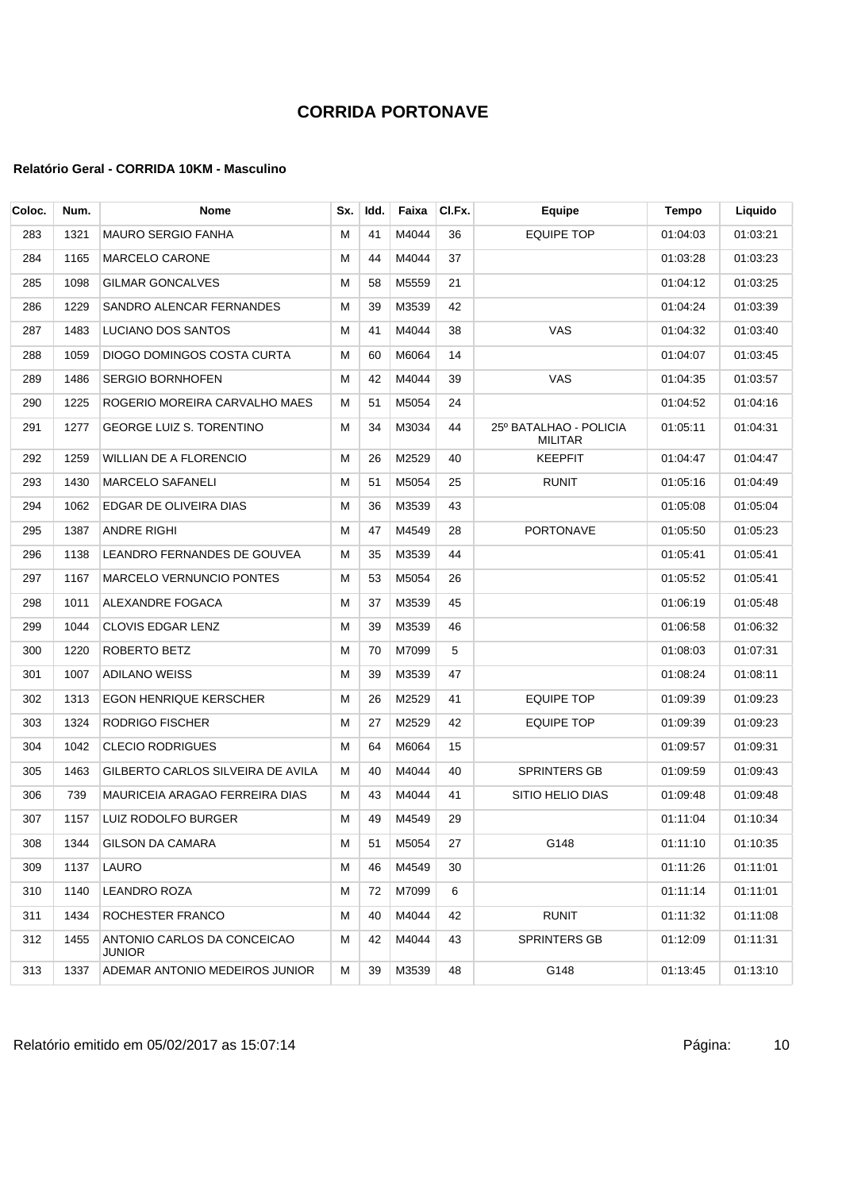| Coloc. | Num. | <b>Nome</b>                           | Sx. | Idd. | Faixa | CI.Fx. | Equipe                                   | Tempo    | Liquido  |
|--------|------|---------------------------------------|-----|------|-------|--------|------------------------------------------|----------|----------|
| 283    | 1321 | <b>MAURO SERGIO FANHA</b>             | M   | 41   | M4044 | 36     | <b>EQUIPE TOP</b>                        | 01:04:03 | 01:03:21 |
| 284    | 1165 | <b>MARCELO CARONE</b>                 | М   | 44   | M4044 | 37     |                                          | 01:03:28 | 01:03:23 |
| 285    | 1098 | <b>GILMAR GONCALVES</b>               | M   | 58   | M5559 | 21     |                                          | 01:04:12 | 01:03:25 |
| 286    | 1229 | SANDRO ALENCAR FERNANDES              | M   | 39   | M3539 | 42     |                                          | 01:04:24 | 01:03:39 |
| 287    | 1483 | LUCIANO DOS SANTOS                    | M   | 41   | M4044 | 38     | VAS                                      | 01:04:32 | 01:03:40 |
| 288    | 1059 | DIOGO DOMINGOS COSTA CURTA            | M   | 60   | M6064 | 14     |                                          | 01:04:07 | 01:03:45 |
| 289    | 1486 | <b>SERGIO BORNHOFEN</b>               | М   | 42   | M4044 | 39     | VAS                                      | 01:04:35 | 01:03:57 |
| 290    | 1225 | ROGERIO MOREIRA CARVALHO MAES         | М   | 51   | M5054 | 24     |                                          | 01:04:52 | 01:04:16 |
| 291    | 1277 | <b>GEORGE LUIZ S. TORENTINO</b>       | M   | 34   | M3034 | 44     | 25º BATALHAO - POLICIA<br><b>MILITAR</b> | 01:05:11 | 01:04:31 |
| 292    | 1259 | <b>WILLIAN DE A FLORENCIO</b>         | M   | 26   | M2529 | 40     | <b>KEEPFIT</b>                           | 01:04:47 | 01:04:47 |
| 293    | 1430 | <b>MARCELO SAFANELI</b>               | М   | 51   | M5054 | 25     | <b>RUNIT</b>                             | 01:05:16 | 01:04:49 |
| 294    | 1062 | EDGAR DE OLIVEIRA DIAS                | M   | 36   | M3539 | 43     |                                          | 01:05:08 | 01:05:04 |
| 295    | 1387 | <b>ANDRE RIGHI</b>                    | М   | 47   | M4549 | 28     | <b>PORTONAVE</b>                         | 01:05:50 | 01:05:23 |
| 296    | 1138 | LEANDRO FERNANDES DE GOUVEA           | М   | 35   | M3539 | 44     |                                          | 01:05:41 | 01.05:41 |
| 297    | 1167 | MARCELO VERNUNCIO PONTES              | M   | 53   | M5054 | 26     |                                          | 01:05:52 | 01:05:41 |
| 298    | 1011 | ALEXANDRE FOGACA                      | M   | 37   | M3539 | 45     |                                          | 01:06:19 | 01:05:48 |
| 299    | 1044 | CLOVIS EDGAR LENZ                     | M   | 39   | M3539 | 46     |                                          | 01:06:58 | 01:06:32 |
| 300    | 1220 | ROBERTO BETZ                          | M   | 70   | M7099 | 5      |                                          | 01:08:03 | 01:07:31 |
| 301    | 1007 | <b>ADILANO WEISS</b>                  | M   | 39   | M3539 | 47     |                                          | 01:08:24 | 01:08:11 |
| 302    | 1313 | <b>EGON HENRIQUE KERSCHER</b>         | M   | 26   | M2529 | 41     | <b>EQUIPE TOP</b>                        | 01:09:39 | 01:09:23 |
| 303    | 1324 | <b>RODRIGO FISCHER</b>                | M   | 27   | M2529 | 42     | EQUIPE TOP                               | 01:09:39 | 01:09:23 |
| 304    | 1042 | <b>CLECIO RODRIGUES</b>               | M   | 64   | M6064 | 15     |                                          | 01:09:57 | 01:09:31 |
| 305    | 1463 | GILBERTO CARLOS SILVEIRA DE AVILA     | М   | 40   | M4044 | 40     | <b>SPRINTERS GB</b>                      | 01:09:59 | 01:09:43 |
| 306    | 739  | MAURICEIA ARAGAO FERREIRA DIAS        | М   | 43   | M4044 | 41     | SITIO HELIO DIAS                         | 01:09:48 | 01:09:48 |
| 307    | 1157 | LUIZ RODOLFO BURGER                   | м   | 49   | M4549 | 29     |                                          | 01:11:04 | 01:10:34 |
| 308    | 1344 | <b>GILSON DA CAMARA</b>               | М   | 51   | M5054 | 27     | G148                                     | 01:11:10 | 01:10:35 |
| 309    | 1137 | <b>LAURO</b>                          | М   | 46   | M4549 | 30     |                                          | 01:11:26 | 01:11:01 |
| 310    | 1140 | <b>LEANDRO ROZA</b>                   | М   | 72   | M7099 | 6      |                                          | 01:11:14 | 01:11:01 |
| 311    | 1434 | ROCHESTER FRANCO                      | M   | 40   | M4044 | 42     | <b>RUNIT</b>                             | 01:11:32 | 01:11:08 |
| 312    | 1455 | ANTONIO CARLOS DA CONCEICAO<br>JUNIOR | М   | 42   | M4044 | 43     | <b>SPRINTERS GB</b>                      | 01:12:09 | 01:11:31 |
| 313    | 1337 | ADEMAR ANTONIO MEDEIROS JUNIOR        | м   | 39   | M3539 | 48     | G148                                     | 01:13:45 | 01:13:10 |